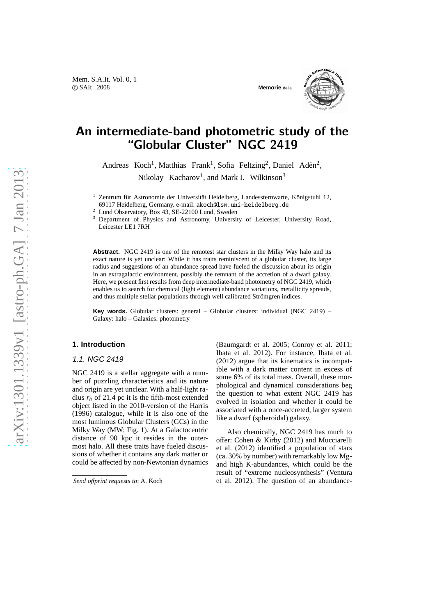

# An intermediate-band photometric study of the "Globular Cluster" NGC 2419

Andreas Koch<sup>1</sup>, Matthias Frank<sup>1</sup>, Sofia Feltzing<sup>2</sup>, Daniel Adén<sup>2</sup>, Nikolay Kacharov<sup>1</sup>, and Mark I. Wilkinson<sup>3</sup>

<sup>1</sup> Zentrum für Astronomie der Universität Heidelberg, Landessternwarte, Königstuhl 12, 69117 Heidelberg, Germany. e-mail: akoch@lsw.uni-heidelberg.de

<sup>2</sup> Lund Observatory, Box 43, SE-22100 Lund, Sweden

<sup>3</sup> Department of Physics and Astronomy, University of Leicester, University Road, Leicester LE1 7RH

**Abstract.** NGC 2419 is one of the remotest star clusters in the Milky Way halo and its exact nature is yet unclear: While it has traits reminiscent of a globular cluster, its large radius and suggestions of an abundance spread have fueled the discussion about its origin in an extragalactic environment, possibly the remnant of the accretion of a dwarf galaxy. Here, we present first results from deep intermediate-band photometry of NGC 2419, which enables us to search for chemical (light element) abundance variations, metallicity spreads, and thus multiple stellar populations through well calibrated Strömgren indices.

**Key words.** Globular clusters: general – Globular clusters: individual (NGC 2419) – Galaxy: halo – Galaxies: photometry

## **1. Introduction**

### 1.1. NGC 2419

NGC 2419 is a stellar aggregate with a number of puzzling characteristics and its nature and origin are yet unclear. With a half-light radius  $r_h$  of 21.4 pc it is the fifth-most extended object listed in the 2010-version of the Harris (1996) catalogue, while it is also one of the most luminous Globular Clusters (GCs) in the Milky Way (MW; Fig. 1). At a Galactocentric distance of 90 kpc it resides in the outermost halo. All these traits have fueled discussions of whether it contains any dark matter or could be affected by non-Newtonian dynamics (Baumgardt et al. 2005; Conroy et al. 2011; Ibata et al. 2012). For instance, Ibata et al. (2012) argue that its kinematics is incompatible with a dark matter content in excess of some 6% of its total mass. Overall, these morphological and dynamical considerations beg the question to what extent NGC 2419 has evolved in isolation and whether it could be associated with a once-accreted, larger system like a dwarf (spheroidal) galaxy.

Also chemically, NGC 2419 has much to offer: Cohen & Kirby (2012) and Mucciarelli et al. (2012) identified a population of stars (ca. 30% by number) with remarkably low Mgand high K-abundances, which could be the result of "extreme nucleosynthesis" (Ventura et al. 2012). The question of an abundance-

*Send o*ff*print requests to*: A. Koch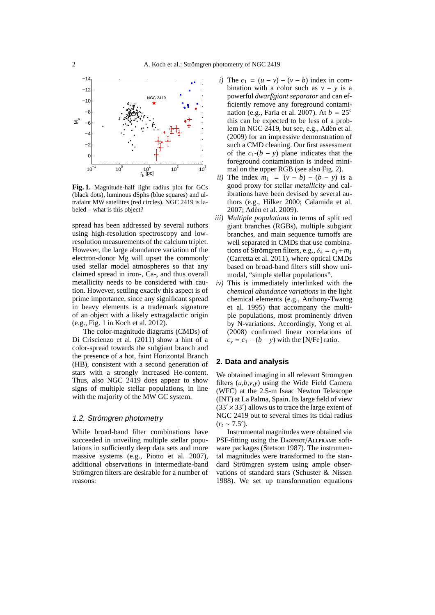

**Fig. 1.** Magnitude-half light radius plot for GCs (black dots), luminous dSphs (blue squares) and ultrafaint MW satellites (red circles). NGC 2419 is labeled – what is this object?

spread has been addressed by several authors using high-resolution spectroscopy and lowresolution measurements of the calcium triplet. However, the large abundance variation of the electron-donor Mg will upset the commonly used stellar model atmospheres so that any claimed spread in iron-, Ca-, and thus overall metallicity needs to be considered with caution. However, settling exactly this aspect is of prime importance, since any significant spread in heavy elements is a trademark signature of an object with a likely extragalactic origin (e.g., Fig. 1 in Koch et al. 2012).

The color-magnitude diagrams (CMDs) of Di Criscienzo et al. (2011) show a hint of a color-spread towards the subgiant branch and the presence of a hot, faint Horizontal Branch (HB), consistent with a second generation of stars with a strongly increased He-content. Thus, also NGC 2419 does appear to show signs of multiple stellar populations, in line with the majority of the MW GC system.

# 1.2. Strömgren photometry

While broad-band filter combinations have succeeded in unveiling multiple stellar populations in sufficiently deep data sets and more massive systems (e.g., Piotto et al. 2007), additional observations in intermediate-band Strömgren filters are desirable for a number of reasons:

- *i*) The  $c_1 = (u v) (v b)$  index in combination with a color such as  $v - v$  is a powerful *dwarf*/*giant separator* and can efficiently remove any foreground contamination (e.g., Faria et al. 2007). At  $b = 25^\circ$ this can be expected to be less of a problem in NGC 2419, but see, e.g., Adén et al. (2009) for an impressive demonstration of such a CMD cleaning. Our first assessment of the  $c_1$ - $(b - y)$  plane indicates that the foreground contamination is indeed minimal on the upper RGB (see also Fig. 2).
- *ii*) The index  $m_1 = (v b) (b y)$  is a good proxy for stellar *metallicity* and calibrations have been devised by several authors (e.g., Hilker 2000; Calamida et al. 2007; Adén et al. 2009).
- *iii) Multiple populations* in terms of split red giant branches (RGBs), multiple subgiant branches, and main sequence turnoffs are well separated in CMDs that use combinations of Strömgren filters, e.g.,  $\delta_4 = c_1 + m_1$ (Carretta et al. 2011), where optical CMDs based on broad-band filters still show unimodal, "simple stellar populations".
- *iv)* This is immediately interlinked with the *chemical abundance variations* in the light chemical elements (e.g., Anthony-Twarog et al. 1995) that accompany the multiple populations, most prominently driven by N-variations. Accordingly, Yong et al. (2008) confirmed linear correlations of  $c_v = c_1 - (b - v)$  with the [N/Fe] ratio.

#### **2. Data and analysis**

We obtained imaging in all relevant Strömgren filters  $(u,b,v,y)$  using the Wide Field Camera (WFC) at the 2.5-m Isaac Newton Telescope (INT) at La Palma, Spain. Its large field of view  $(33' \times 33')$  allows us to trace the large extent of NGC 2419 out to several times its tidal radius  $(r_t \sim 7.5')$ .

Instrumental magnitudes were obtained via PSF-fitting using the DAOPHOT/ALLFRAME software packages (Stetson 1987). The instrumental magnitudes were transformed to the standard Strömgren system using ample observations of standard stars (Schuster & Nissen 1988). We set up transformation equations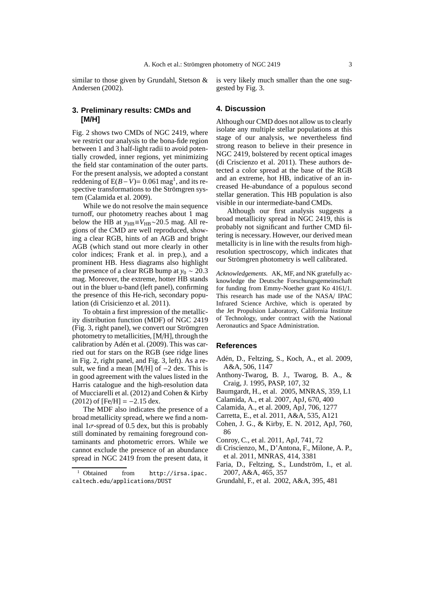similar to those given by Grundahl, Stetson & Andersen (2002).

is very likely much smaller than the one suggested by Fig. 3.

## **3. Preliminary results: CMDs and [M/H]**

Fig. 2 shows two CMDs of NGC 2419, where we restrict our analysis to the bona-fide region between 1 and 3 half-light radii to avoid potentially crowded, inner regions, yet minimizing the field star contamination of the outer parts. For the present analysis, we adopted a constant reddening of  $E(B-V) = 0.061$  mag<sup>1</sup>, and its respective transformations to the Strömgren system (Calamida et al. 2009).

While we do not resolve the main sequence turnoff, our photometry reaches about  $\overline{1}$  mag below the HB at  $y_{HB} \equiv V_{HB} \sim 20.5$  mag. All regions of the CMD are well reproduced, showing a clear RGB, hints of an AGB and bright AGB (which stand out more clearly in other color indices; Frank et al. in prep.), and a prominent HB. Hess diagrams also highlight the presence of a clear RGB bump at  $y_0 \sim 20.3$ mag. Moreover, the extreme, hotter HB stands out in the bluer u-band (left panel), confirming the presence of this He-rich, secondary population (di Crisicienzo et al. 2011).

To obtain a first impression of the metallicity distribution function (MDF) of NGC 2419  $(Fi)$ ,  $\ddot{S}$ , right panel), we convert our Strömgren photometry to metallicities, [M/H], through the calibration by Adén et al. (2009). This was carried out for stars on the RGB (see ridge lines in Fig. 2, right panel, and Fig. 3, left). As a result, we find a mean [M/H] of −2 dex. This is in good agreement with the values listed in the Harris catalogue and the high-resolution data of Mucciarelli et al. (2012) and Cohen & Kirby  $(2012)$  of  $[Fe/H] = -2.15$  dex.

The MDF also indicates the presence of a broad metallicity spread, where we find a nominal  $1\sigma$ -spread of 0.5 dex, but this is probably still dominated by remaining foreground contaminants and photometric errors. While we cannot exclude the presence of an abundance spread in NGC 2419 from the present data, it

#### **4. Discussion**

Although our CMD does not allow us to clearly isolate any multiple stellar populations at this stage of our analysis, we nevertheless find strong reason to believe in their presence in NGC 2419, bolstered by recent optical images (di Criscienzo et al. 2011). These authors detected a color spread at the base of the RGB and an extreme, hot HB, indicative of an increased He-abundance of a populous second stellar generation. This HB population is also visible in our intermediate-band CMDs.

Although our first analysis suggests a broad metallicity spread in NGC 2419, this is probably not significant and further CMD filtering is necessary. However, our derived mean metallicity is in line with the results from highresolution spectroscopy, which indicates that our Strömgren photometry is well calibrated.

*Acknowledgements.* AK, MF, and NK gratefully acknowledge the Deutsche Forschungsgemeinschaft for funding from Emmy-Noether grant Ko 4161/1. This research has made use of the NASA/ IPAC Infrared Science Archive, which is operated by the Jet Propulsion Laboratory, California Institute of Technology, under contract with the National Aeronautics and Space Administration.

#### **References**

- Adén, D., Feltzing, S., Koch, A., et al. 2009, A&A, 506, 1147
- Anthony-Twarog, B. J., Twarog, B. A., & Craig, J. 1995, PASP, 107, 32
- Baumgardt, H., et al. 2005, MNRAS, 359, L1
- Calamida, A., et al. 2007, ApJ, 670, 400
- Calamida, A., et al. 2009, ApJ, 706, 1277
- Carretta, E., et al. 2011, A&A, 535, A121
- Cohen, J. G., & Kirby, E. N. 2012, ApJ, 760, 86
- Conroy, C., et al. 2011, ApJ, 741, 72
- di Criscienzo, M., D'Antona, F., Milone, A. P., et al. 2011, MNRAS, 414, 3381
- Faria, D., Feltzing, S., Lundström, I., et al. 2007, A&A, 465, 357
- Grundahl, F., et al. 2002, A&A, 395, 481

 $<sup>1</sup>$  Obtained from http://irsa.ipac.</sup> caltech.edu/applications/DUST